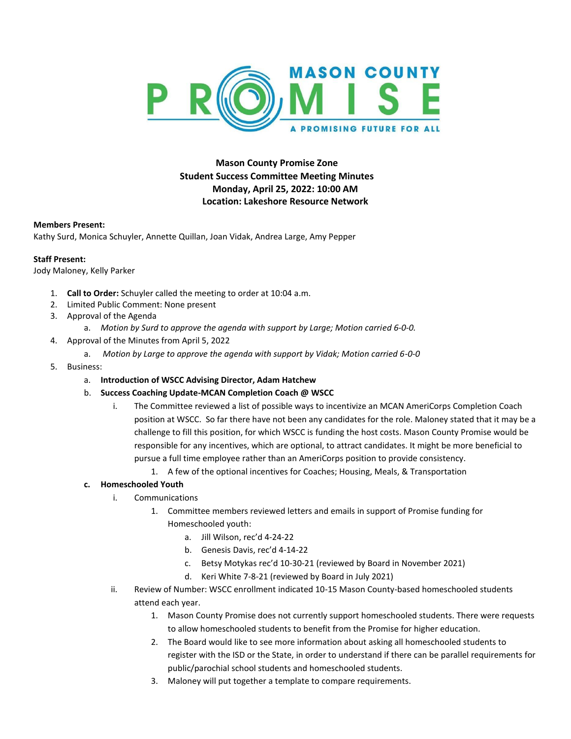

## **Mason County Promise Zone Student Success Committee Meeting Minutes Monday, April 25, 2022: 10:00 AM Location: Lakeshore Resource Network**

## **Members Present:**

Kathy Surd, Monica Schuyler, Annette Quillan, Joan Vidak, Andrea Large, Amy Pepper

## **Staff Present:**

Jody Maloney, Kelly Parker

- 1. **Call to Order:** Schuyler called the meeting to order at 10:04 a.m.
- 2. Limited Public Comment: None present
- 3. Approval of the Agenda
	- a. *Motion by Surd to approve the agenda with support by Large; Motion carried 6-0-0.*
- 4. Approval of the Minutes from April 5, 2022
	- a. *Motion by Large to approve the agenda with support by Vidak; Motion carried 6-0-0*
- 5. Business:
	- a. **Introduction of WSCC Advising Director, Adam Hatchew**
	- b. **Success Coaching Update-MCAN Completion Coach @ WSCC**
		- i. The Committee reviewed a list of possible ways to incentivize an MCAN AmeriCorps Completion Coach position at WSCC. So far there have not been any candidates for the role. Maloney stated that it may be a challenge to fill this position, for which WSCC is funding the host costs. Mason County Promise would be responsible for any incentives, which are optional, to attract candidates. It might be more beneficial to pursue a full time employee rather than an AmeriCorps position to provide consistency.
			- 1. A few of the optional incentives for Coaches; Housing, Meals, & Transportation

## **c. Homeschooled Youth**

- i. Communications
	- 1. Committee members reviewed letters and emails in support of Promise funding for Homeschooled youth:
		- a. Jill Wilson, rec'd 4-24-22
		- b. Genesis Davis, rec'd 4-14-22
		- c. Betsy Motykas rec'd 10-30-21 (reviewed by Board in November 2021)
		- d. Keri White 7-8-21 (reviewed by Board in July 2021)
- ii. Review of Number: WSCC enrollment indicated 10-15 Mason County-based homeschooled students attend each year.
	- 1. Mason County Promise does not currently support homeschooled students. There were requests to allow homeschooled students to benefit from the Promise for higher education.
	- 2. The Board would like to see more information about asking all homeschooled students to register with the ISD or the State, in order to understand if there can be parallel requirements for public/parochial school students and homeschooled students.
	- 3. Maloney will put together a template to compare requirements.